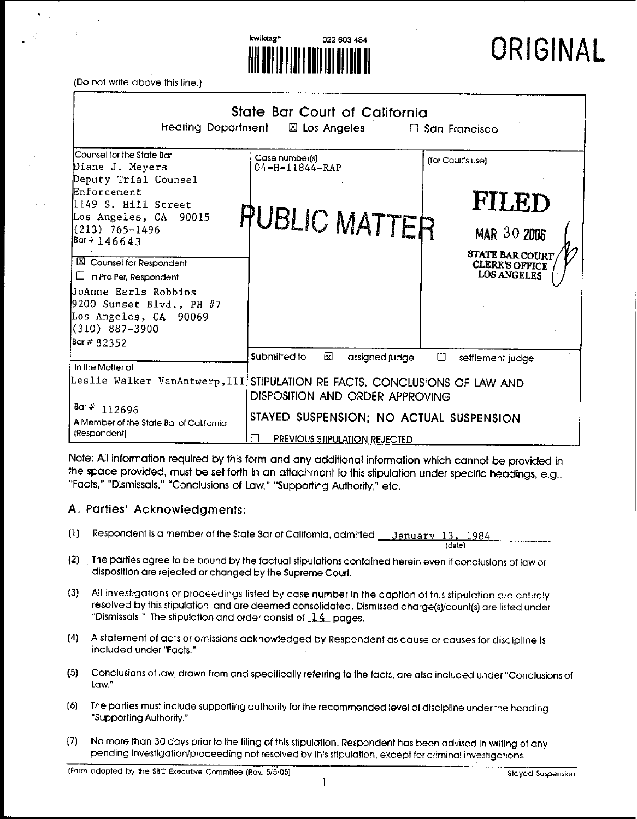

Do not write above this line.]

| State Bar Court of California<br><b>Hearing Department</b><br>$\boxtimes$ Los Angeles<br>$\Box$ San Francisco                                   |                                                                                                                    |                                                                                |  |  |
|-------------------------------------------------------------------------------------------------------------------------------------------------|--------------------------------------------------------------------------------------------------------------------|--------------------------------------------------------------------------------|--|--|
| Counsel for the State Bar<br>Diane J. Meyers<br><b>Deputy Trial Counsel</b>                                                                     | Case number(s)<br>04-H-11844-RAP                                                                                   | (for Court's use)                                                              |  |  |
| Enforcement<br>1149 S. Hill Street<br>Los Angeles, CA 90015<br>$(213)$ 765-1496<br>Bar # 146643<br>X Counsel for Respondent                     | <b>PUBLIC MATTER</b>                                                                                               | FILED<br><b>MAR 30 2006</b><br><b>STATE BAR COURT</b><br><b>CLERK'S OFFICE</b> |  |  |
| $\Box$ In Pro Per, Respondent<br>UoAnne Earls Robbins<br>9200 Sunset Blvd., PH $#7$<br>Los Angeles, CA 90069<br>$(310)$ 887-3900<br>Bar # 82352 |                                                                                                                    | <b>LOS ANGELES</b>                                                             |  |  |
| In the Matter of<br>Leslie Walker VanAntwerp,III STIPULATION RE FACTS, CONCLUSIONS OF LAW AND                                                   | Submitted to<br>囟<br>assigned judge                                                                                | $\Box$<br>settlement judge                                                     |  |  |
| Bar # $112696$<br>A Member of the State Bar of California<br>(Respondent)                                                                       | DISPOSITION AND ORDER APPROVING<br>STAYED SUSPENSION; NO ACTUAL SUSPENSION<br><b>PREVIOUS STIPULATION REJECTED</b> |                                                                                |  |  |

Note: All information required by this form and any additional information which cannot be provided in the space provided, must be set forth in an attachment to this stipulation under specific headings, e.g., "Facts," "Dismissals," "Conclusions of Law," "Supporting Authority," etc.

## **A. Parties' Acknowledgments:**

- (1) Respondent is a member of the State Bar of California, admitted  $\_\_J$ anuary 13, 1984
- (2) The patties agree to be bound by the factual stipulations contained herein even if conclusions of law or disposition are rejected or changed by lhe Supreme Courl.
- (3] All investigations or proceedings listed by case number in the caption of this stipulation are entirely resolved by this stipulation, and are deemed consolidated. Dismissed charge(s]/count[s] are listed under "Dismissals." The stipulation and order consist of  $14$  pages.
- [4] A statement of acts or omissions acknowledged by Respondent as cause or causes for discipline is included under "Facts."
- (5) Conclusions of law, drawn from and specifically referring to the facts, are also included under "Conclusions of Law."
- [6) The parties must include suppoding authority for the recommended level of discipline under the heading "Supporting Aulhority."
- [7) No more than 30 days prior to lhe filing of this stipulalion, Respondent has been advised in writing of any pending investigation/proceeding not resolved by Ibis stipulation, except for criminal investigations.

(date)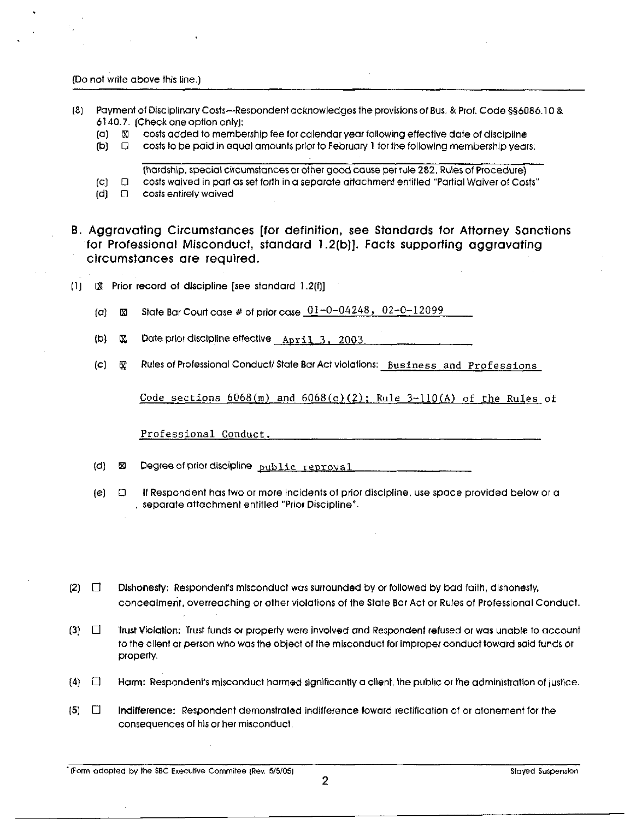Do not wrile above this line.)

- Payment of Disciplinary Costs--Respondent acknowledges lhe provisions of Bus. & Prof. Code §§6086.1 O & (8) 6140.7. (Check one option only):
	- (a] [] costs added to membership fee for calendar year following efteclive date of discipline
	- (b)  $\Box$  costs to be paid in equal amounts prior to February 1 for the following membership years:
		- (hardship, special circumstances or other good cause per rule 282, Rules of Procedure)
	- (c) [3 costs waived in part as set forth in a separate altachment entitled "Partial Waiver of Costs"
	- $(d)$   $\Box$  costs entirely waived
- **B. Aggravating Circumstances [for definition, see Standards for Attorney Sanctions for Professional Misconduct, standard 1.2(b)]. Facts supporting aggravating circumstances are required.**
- $[1]$   $[2]$  Prior record of discipline [see standard 1.2(f)]
	- (a)  $\boxtimes$  State Bar Court case # of prior case  $\frac{01-0-04248}{0.02-0-12099}$
	- (b)  $\%$  Date prior discipline effective  $\Delta\gamma$  11 3, 2003
	- (c)  $\bar{w}$  Rules of Professional Conduct/State Bar Act violations: Business and Professions

Code sections  $6068(m)$  and  $6068(o)(2)$ ; Rule 3-110(A) of the Rules of

Professional Conduct.

 $(d)$   $\boxtimes$  Degree of prior discipline  $\frac{\text{public} \times \text{sepc}(1)}{\text{D}}$ 

- (e] [] If Respondent has two or more incidents of prior discipline, use space provided below or a , separate attachment entitled "Prior Discipline".
- $[2]$   $\Box$ Dishonesty; Respondent's misconduct was surrounded by or followed by bad faith, dishonesty, concealment, overreaching or other violations of the State Bar Act or Rules of Professional Conduct.
- $[3]$   $\Box$ Trust Violation: Trust funds or property were Involved and Respondenl refused or was unable to account to the client or person who was the object of the misconduct for improper conduct toward said funds or property.
- $(4)$   $\Box$ Harm: Respondent's misconduct harmed significantly a client, the public or the administration of justice.
- **(5] []** Indifference: Respondent demonstrated indilference toward rectification of or atonement for lhe consequences of his or her misconduct.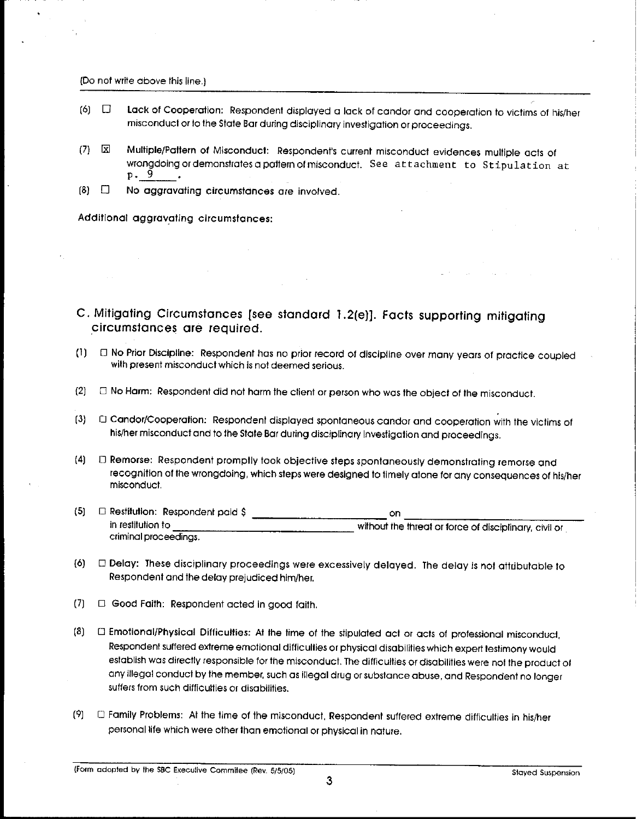#### (Do not write above this line,)

- $[6]$   $\Box$  Lack of Cooperation: Respondent displayed a lack of candor and cooperation to victims of his/her misconduct or to the State Bar during disciplinary investigation or proceedings.
- [] Multiple/Paltem of Misconducl: Respondent's current misconduct evidences multiple acts of  $(7)$ wrongdoing ordemonstrates a paltern of misconduct. See attachment to Stipulation at po 9
- $[8]$   $\Box$  No aggravating circumstances are involved.

Additional aggravating circumstances:

# **C. Mitigating Circumstances [see standard 1.2(e)]. Facts supporting mitigating .circumstances are required.**

- (1) [] No Prior Discipline: Respondent has no prior record of discipline over many years of practice coupled with present misconduct which is not deemed serious.
- {2} ~ No Harm: Respondent did not harm the client or person who was the objecl of the misconduct.
- Candor/Cooperation: Respondent displayed spontaneous candor and cooperation with the victims of  $(3)$ his/her misconduct and to the State Bar during disciplinary Investigation and proceedings.
- [4] E) Remorse: Respondent promplly took objective steps spontaneously demonstrating remorse and recognition of the wrongdoing, which steps were designed to timely atone for any consequences of his/her misconduct,
- (5) [] Restitution: Respondent paid \$ on in restitution to criminal proceedings. without the threat or force of disciplinary, civil or
- (6) [] Delay: These disciplinary proceedings were excessively delayed. The delay is hal attributable Io Respondent and the delay prejudiced him/her.
- $(7)$   $\Box$  Good Faith: Respondent acted in good faith,
- [] Emotional/Physical Difficulties: At lhe time of the stipulated acl or acts of professional misconducl, Respondent suffered extreme emotional difficulties or physical disabilities which expert lestimony would establish was directly responsible for the misconduct. The difficulties or disabilities were not the product of any illegal conduct by the member, such as illegal drug or substance abuse, and Respondent no longer suffers from such difficulties or disabilities.
- [9] E) Family Problems: At the time of the misconduct, Respondent suffered extreme difficulties in his/her personal life which were other lhan emotional or physical in nature.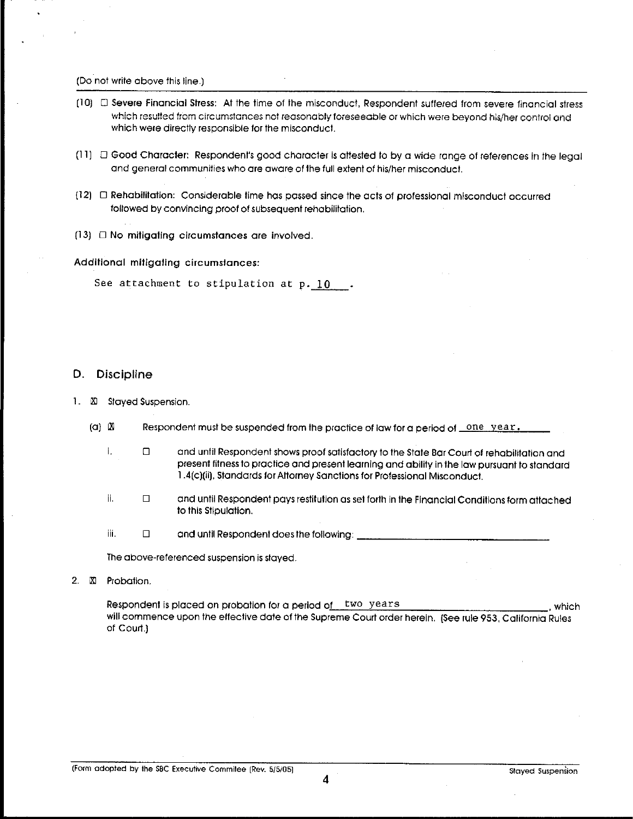[Do not write above this line.]

- [10] [] Severe Financial Stress: At the time of lhe misconduct, Respondent suffered from severe financial stress which resulted from circumstances not reasonably foreseeable or which were beyond his/her control and which were directly responsible for the misconducl.
- (11)  $\Box$  Good Character: Respondent's good character is attested to by a wide range of references in the legal and general communities who are aware of 1he full extent of his/her misconduct.
- (12) [] Rehabililation: Considerable time has passed since the acts of professional misconduct occurred followed by convincing proof of subsequent rehabilitation.
- $(13)$   $\Box$  No mitigating circumstances are involved.

Addilional mitigating circumstances:

See attachment to stipulation at p. 10 .

#### **D.** Discipline

- 1.  $\times$  Stayed Suspension.
	- $(a)$   $|X|$ Respondent must be suspended from the practice of law for a period of  $\_\texttt{one year}$ .
		- **i.**  $\Box$ and until Respondent shows proof satisfactory to the State Bar Court of rehabilitation and present fitness to practice and present learning and ability in the law pursuant to standard 1.4[¢)[ii], Standards for Attorney Sanctions for Professional Misconduct.
		- **ii, []** and until Respondent pays restitution as set fodh in the Financial Condilions form atlached to this Stipulation.
		- iii.  $\Box$  and until Respondent does the following:

The above-referenced suspension is slayed.

2.  $\Sigma$  Probation.

Respondent is placed on probation for a period of two years , which , which will commence upon the effective date of the Supreme Court order herein. (See rule 953, California Rules of Coud.)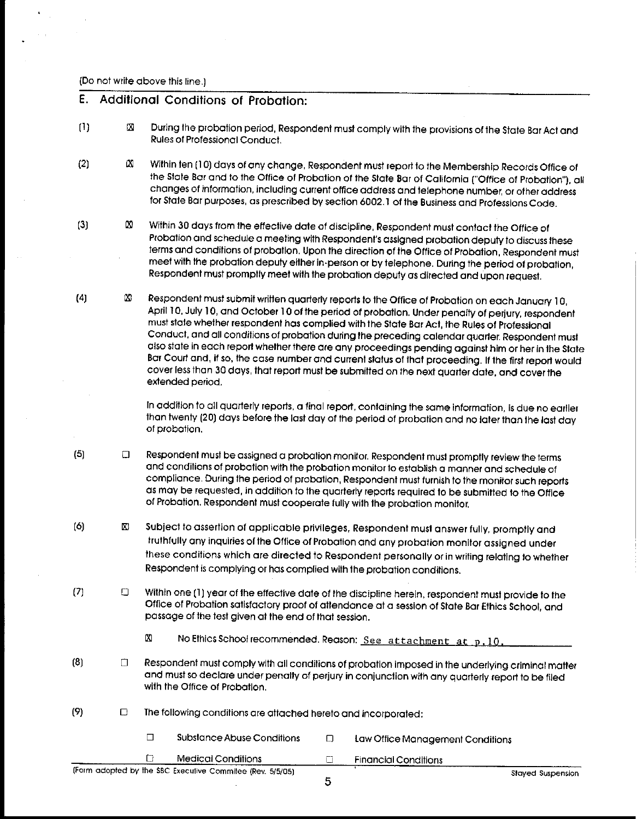(Do not write above this line.)

## **Additional Conditions of Probation:**

- [1]  $[3]$  During the probation period, Respondent must comply with the provisions of the State Bar Act and Rules of Professional Conduct.
- $\Box$  $(2)$ Within ten (10) days of any change, Respondent must report to the Membership Records Office of the State Bar and to the Offioe of Probation of the Slate Bar of Calitomla ["Office of Probation"], all changes of information, including current office address and telephone number, or other address for State Bar purposes, as prescribed by section 6002. I of the Business and Professions Code.
- [3]

 $[4]$ 

- Ø. Within 30 days from the effective date of discipline, Respondent must contact the Office of Probation and schedule a meeting with Respondent's assigned probation deputy to discuss these terms and conditions of probation. Upon the direction of the Office of Probation, Respondent must meet with the probation deputy either in-person or by telephone. During the period of probation, Respondent must promptly meet with the probation deputy as directed and upon request.
- $\infty$ Respondent must submit written quarterly reports 1o the Office of Probation on each January ] O, April 10, July 10, and October 10 of the period of probation. Under penalty of perjury, respondent must state whether respondent has complied with the State Bar Act, the Rules of Professional Conduct, and all conditions of probation during the preceding calendar quarter. Respondent must also state in each report whelher there are any proceedings pending against him or her in the Slate Bar Court and, if so, the case number and current status of that proceeding. If the first report would cover less than 30 days, lhat report must be submitted on the next quarter date, and cover the extended period.

In addition to all quarterly reports, a final report, containing the same information, is due no earlier than twenty (20) days before the last day of the period of probation and no laler than lhe last day of probation.

- (5]  $\Box$ Respondent must be assigned a probation monitor. Respondent must promptly review the terms and conditions of probation with the probation monitor to establish a manner and schedule of compliance. During the period of probation, Respondent must furnish to the monitor such reports as may be requested, in addition to the quarterly reports required to be submitted to the Office of Probation. Respondent must cooperate fully wilh lhe probation monitor,
- $[6]$   $[8]$ Subject to assertion of applicable privileges, Respondent must answer fully, promptly and truthfully any inquiries at the Office of Probation and any probation monitor assigned under these conditions which are directed to Respondent personally or in writing relating 1o whether Respondent is complying or has complied wilh the probation conditions.
- $(7)$   $\Box$ Within one (1) year of the effective date of the discipline herein, respondent must provide to the Office of Probation satisfactory proof of atlendance at a session of State Bar Ethics School, and passage of the test given al the end of that session.
	- [2] No Ethics School recommended. Reason: See attachment at p, 10,
- **(8] []** Respondent must comply with all conditions of probation imposed in the underlying criminal matter and must so declare under penalty of perjury in conjunction with any quarterly report to be filed with the Office of Probation.
- $(9)$  $\Box$  The following conditions are attached hereto and incorporated:
	- $\square$  Substance Abuse Conditions  $\square$  Law Office Management Conditions

**5**

 $\Box$ Medical Conditions **Example 2** Financial Conditions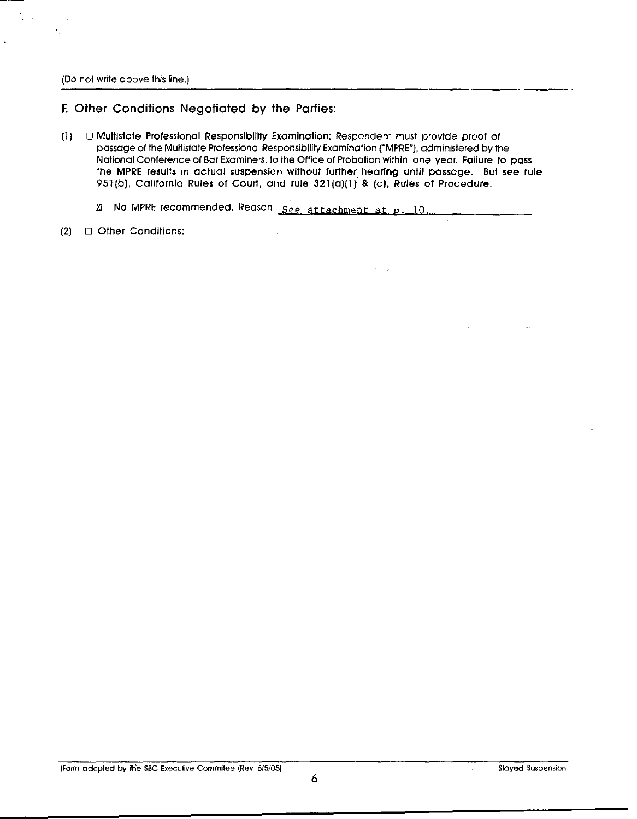(Do not write above this line,)

**F. Other Conditions Negotiated by the Parties:**

 $[1]$   $\Box$  Multistate Professional Responsibility Examination: Respondent must provide proof of passage of the Multistate Professional Responsibility Examination ("MPRE"), administered by the National Conference ol Bar Examiners, to the Office of Probation within one year, Failure to pass the MPRE results in actual suspension without further hearing until passage. But see rule 951(b), California Rules of Court, and rule 321(a)(1) & (c), Rules of Procedure.

 $\sim$ 

 $\mathcal{L}_{\rm{max}}$  .

 $\boxtimes$  No MPRE recommended. Reason: See attachment at p. 10,

 $(2)$   $\Box$  Other Conditions: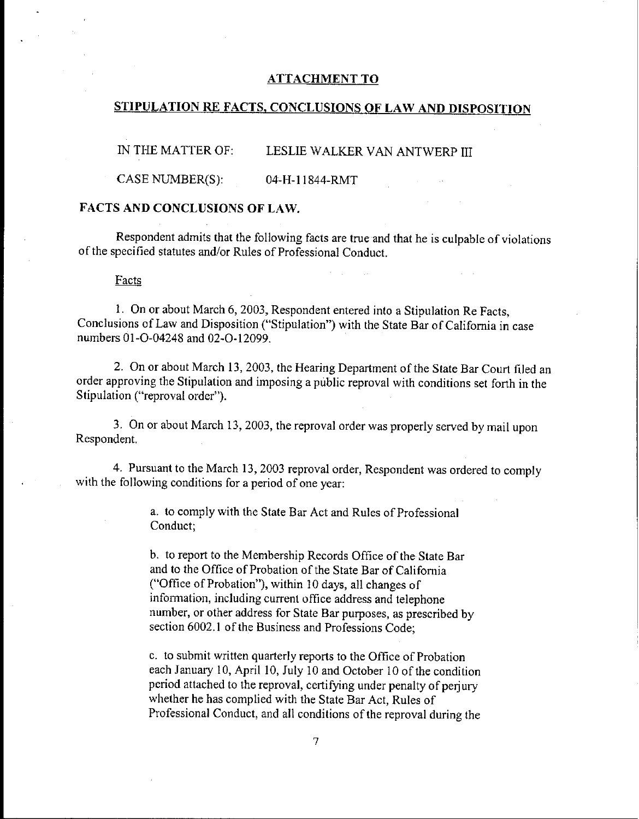#### ATTACHMENT TO

## STIPULATION RE FACTS, CONCLUSIONS OF LAW AND DISPOSITION

IN THE MATTER OF: LESLIE WALKER VAN ANTWERP III

 $CASE NUMBER(S): 04-H-11844-RMT$ 

#### FACTS AND CONCLUSIONS OF LAW.

Respondent admits that the following facts are true and that he is culpable of violations of the specified statutes and/or Rules of Professional Conduct.

#### **Facts**

1. On or about March 6, 2003, Respondent entered into a Stipulation Re Facts, Conclusions of Law and Disposition ("Stipulation") with the State Bar of California in case numbers 01-O-04248 and 02-0-12099.

2. On or about March 13, 2003, the Hearing Department of the State Bar Court filed an order approving the Stipulation and imposing a public reproval with conditions set forth in the Stipulation ("reproval order").

3. On or about March 13, 2003, the reproval order was properly served by mail upon Respondent.

4. Pursuant to the March 13, 2003 reproval order, Respondent was ordered to comply with the following conditions for a period of one year:

> a. to comply with the State Bar Act and Rules of Professional Conduct;

b. to report to the Membership Records Office of the State Bar and to the Office of Probation of the State Bar of California ("Office of Probation"), within 10 days, all changes of infomaation, including current office address and telephone number, or other address for State Bar purposes, as prescribed by section 6002.1 of the Business and Professions Code;

c. to submit written quarterly reports to the Office of Probation each January 10, April 10, July 10 and October 10 of the condition period attached to the reproval, certifying under penalty of perjury whether he has complied with the State Bar Act, Rules of Professional Conduct, and all conditions of the reproval during the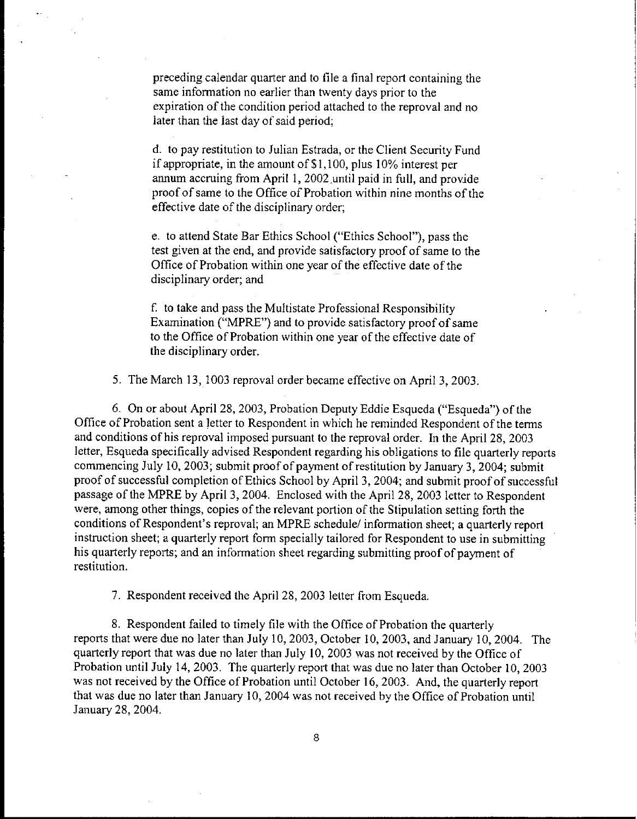preceding calendar quarter and to file a final report containing the same information no earlier than twenty days prior to the expiration of the condition period attached to the reproval and no later than the last day of said period;

d. to pay restitution to Julian Estrada, or the Client Security Fund if appropriate, in the amount of \$1,100, plus 10% interest per annum accruing from April 1, 2002.until paid in full, and prowide proof of same to the Office of Probation within nine months of the effective date of the disciplinary order;

e. to attend State Bar Ethics School ("Ethics School"), pass the test given at the end, and provide satisfactory proof of same to the Office of Probation within one year of the effective date of the disciplinary order; and

f. to take and pass the Multistate Professional Responsibility Examination ("MPRE") and to provide satisfactory proof of same to the Office of Probation within one year of the effective date of the disciplinary order.

5. The March 13, 1003 reproval order became effective on April 3, 2003.

6. On or about April 28, 2003, Probation Deputy Eddie Esqueda ("Esqueda") of the Office of Probation sent a letter to Respondent in which he reminded Respondent of the terms and conditions of his reproval imposed pursuant to the reproval order. In the April 28, 2003 letter, Esqueda specifically advised Respondent regarding his obligations to file quarterly reports commencing July 10, 2003; submit proof of payment of restitution by January 3, 2004; submit proof of successful completion of Ethics School by April 3, 2004; and submit proof of successful passage of the MPRE by April 3, 2004. Enclosed with the April 28, 2003 letter to Respondent were, among other things, copies of the relevant portion of the Stipulation setting forth the conditions of Respondent's reproval; an MPRE schedule/ information sheet; a quarterly report instruction sheet; a quarterly report form specially tailored for Respondent to use in submitting his quarterly reports; and an information sheet regarding submitting proof of payment of restitution.

7. Respondent received the April 28, 2003 letter from Esqueda.

8. Respondent failed to timely file with the Office of Probation the quarterly reports that were due no later than July 10, 2003, October 10, 2003, and January 10, 2004. The quarterly report that was due no later than July 10, 2003 was not received by the Office of Probation until July 14, 2003. The quarterly report that was due no later than October 10, 2003 was not received by the Office of Probation until October 16, 2003. And, the quarterly report that was due no later than January 10, 2004 was not received by the Office of Probation until January 28, 2004.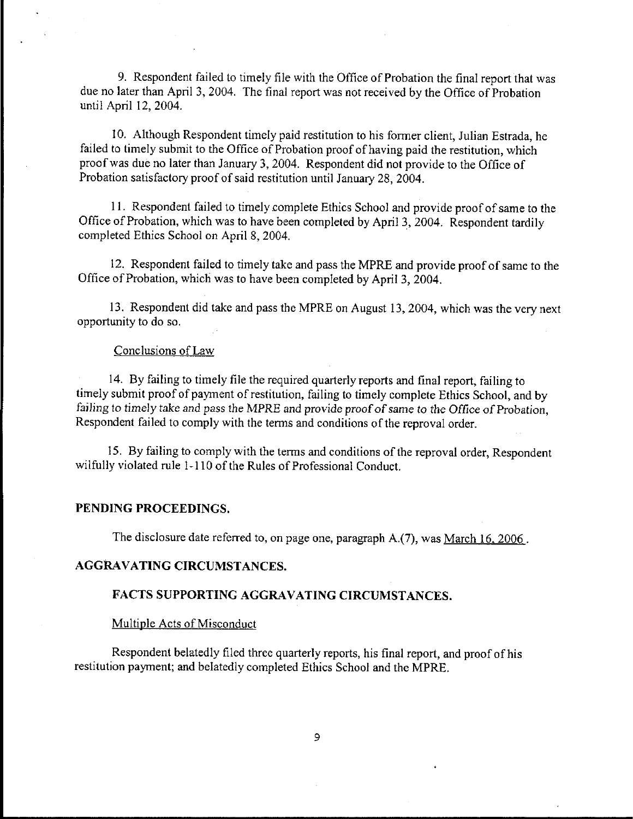9. Respondent failed to timely file with the Office of Probation the final report that was due no later than April 3, 2004. The final report was not received by the Office of Probation until April 12, 2004.

l 0. Although Respondent timely paid restitution to his former client, Julian Estrada, he failed to timely submit to the Office of Probation proof of having paid the restitution, which proof was due no later than January 3, 2004. Respondent did not provide to the Office of Probation satisfactory proof of said restitution until January 28, 2004.

11. Respondent failed to timely complete Ethics School and provide proof of same to the Office of Probation, which was to have been completed by April 3, 2004. Respondent tardily completed Ethics School on April 8, 2004.

12. Respondent failed to timely take and pass the MPRE and provide proof of same to the Office of Probation, which was to have been completed by April 3, 2004.

13. Respondent did take and pass the MPRE on August 13, 2004, which was the very next opportunity to do so.

## Conclusions of Law

14. By failing to timely file the required quarterly reports and final report, failing to timely submit proof of payment of restitution, failing to timely complete Ethics School, and by failing to timely take and pass the MPRE and provide proof of same to the Office of Probation, Respondent failed to comply with the terms and conditions of the reprovaI order.

15. By failing to comply with the terms and conditions of the reproval order, Respondent wilfully violated rule 1-110 of the Rules of Professional Conduct.

#### **PENDING PROCEEDINGS.**

The disclosure date referred to, on page one, paragraph A.(7), was March 16, 2006.

#### AGGRAVATING CIRCUMSTANCES.

## FACTS SUPPORTING AGGRAVATING CIRCUMSTANCES.

#### Multiple Acts of Misconduct

Respondent belatedly filed three quarterly reports, his final report, and proof of his restitution payment; and belatedly completed Ethics School and the MPRE.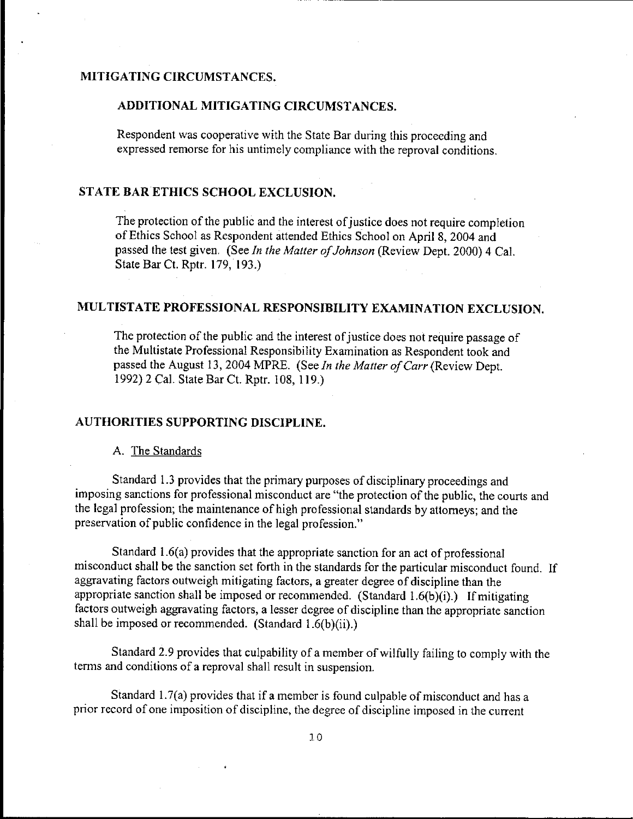# MITIGATING CIRCUMSTANCES.

#### ADDITIONAL MITIGATING CIRCUMSTANCES.

Respondent was cooperative with the State Bar during this proceeding and expressed remorse for his untimely compliance with the reproval conditions.

# STATE BAR ETHICS SCHOOL EXCLUSION.

The protection of the public and the interest of justice does not require completion of Ethics School as Respondent attended Ethics School on April 8, 2004 and passed the test given. (See *In the Matter of Johnson* (Review Dept. 2000) 4 Cal. State Bar Ct. Rptr. 179, 193.)

# MULTISTATE PROFESSIONAL RESPONSIBILITY EXAMINATION EXCLUSION.

The protection of the public and the interest of justice does not require passage of the Multistate Professional Responsibility Examination as Respondent took and passed the August 13, 2004 MPRE. (See *In the Matter of Carr* (Review Dept. 1992) 2 Cal. State Bar Ct. Rptr. 108, 119.)

#### AUTHORITIES SUPPORTING DISCIPLINE.

A. The Standards

Standard 1.3 provides that the primary purposes of disciplinary proceedings and imposing sanctions for professional misconduct are "the protection of the public, the courts and the legal profession; the maintenance of high professional standards by attorneys; and the preservation of public confidence in the legal profession."

Standard 1.6(a) provides that the appropriate sanction for an act of professional misconduct shall be the sanction set forth in the standards for the particular misconduct found. If aggravating factors outweigh mitigating factors, a greater degree of discipline than the appropriate sanction shall be imposed or recommended. (Standard 1.6(b)(i).) If mitigating factors outweigh aggravating factors, a lesser degree of discipline than the appropriate sanction shall be imposed or recommended. (Standard 1.6(b)(ii).)

Standard 2.9 provides that culpability of a member of wilfully failing to comply with the terms and conditions of a reproval shall result in suspension.

Standard 1.7(a) provides that if a member is found culpable of misconduct and has a prior record of one imposition of discipline, the degree of discipline imposed in the current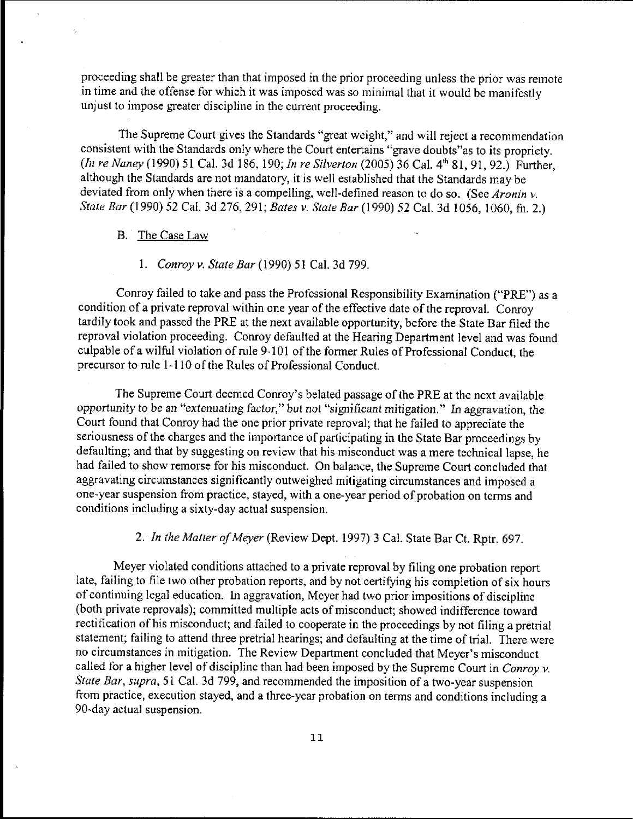proceeding shall be greater than that imposed in the prior proceeding unless the prior was remote in time and the offense for which it was imposed was so minimal that it would be manifestly unjust to impose greater discipline in the current proceeding.

The Supreme Court gives the Standards "great weight," and will reject a recommendation consistent with the Standards only where the Court entertains "grave doubts"as to its propriety. *(In re Naney* (1990) 51 Cal. 3d 186, 190; *In re Silverton* (2005) 36 Cal. 4~ 81, 91, 92.) Further, although the Standards are not mandatory, it is well established that the Standards may be deviated from only when there is a compelling, well-defined reason to do so. (See *Aronin v. State Bar* (1990) 52 Cal. 3d 276, 291; *Bates v. State Bar* (1990) 52 Cal. 3d 1056, 1060, fn. 2.)

#### B. The Case Law

#### *1. Conroy v. State Bar* (1990) 51 Cal. 3d 799.

Conroy failed to take and pass the Professional Responsibility Examination ("PRE") as a condition of a private reproval within one year of the effective date of the reproval. Conroy tardily took and passed the PRE at the next available opportunity, before the State Bar filed the reproval violation proceeding. Conroy defaulted at the Hearing Department level and was found culpable of a wilful violation of rule 9-101 of the former Rules of Professional Conduct, the precursor to rule 1-110 of the Rules of Professional Conduct.

The Supreme Court deemed Conroy's belated passage of the PRE at the next available *opportunity* to be an "extenuating factor," *but* not *"significant mitigation." In* aggravation, the Court found that Conroy had the one prior private reproval; that he failed to appreciate the seriousness of the charges and the importance of participating in the State Bar proceedings by defaulting; and that by suggesting on review that his misconduct was a mere technical lapse, he had failed to show remorse for his misconduct. On balance, the Supreme Court concluded that aggravating circumstances significantly outweighed mitigating circumstances and imposed a one-year suspension from practice, stayed, with a one-year period of probation on terms and conditions including a sixty-day actual suspension.

## *2. In the Matter of Meyer* (Review Dept. 1997) 3 Cal. State Bar Ct. Rptr. 697.

Meyer violated conditions attached to a private reproval by filing one probation report late, failing to file two other probation reports, and by not certifying his completion of six hours of continuing legal education. In aggravation, Meyer had two prior impositions of discipline (both private reprovals); committed multiple acts of misconduct; showed indifference toward rectification of his misconduct; and failed to cooperate in the proceedings by not filing a pretrial statement; failing to attend three pretrial hearings; and defaulting at the time of trial. There were no circumstances in mitigation. The Review Department concluded that Meyer's misconduct called for a higher level of discipline than had been imposed by the Supreme Court in *Conroy v. State Bar, supra,* 51 Cal. 3d 799, and recommended the imposition of a two-year suspension from practice, execution stayed, and a three-year probation on terms and conditions including a 90-day actual suspension.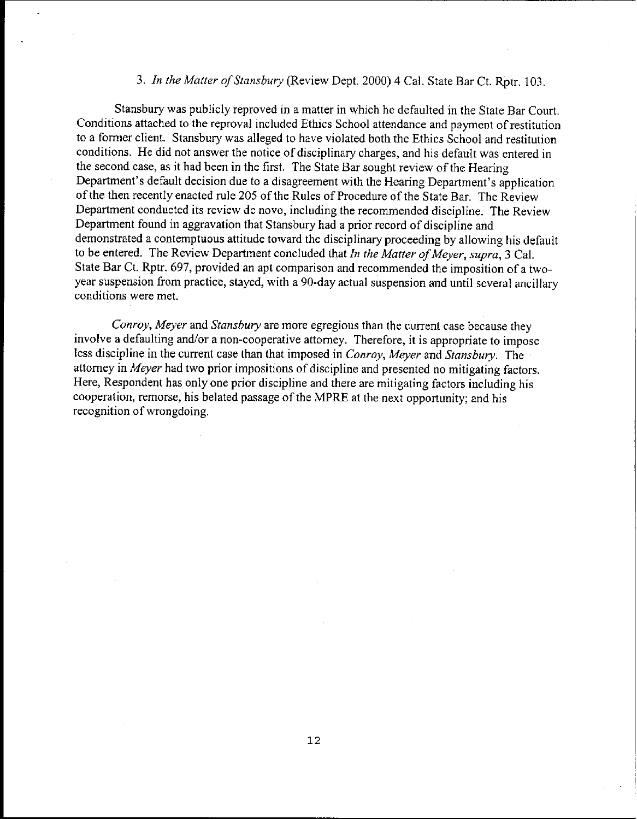## *3. In the Matter of Stansbury* (Review Dept. 2000) 4 Cat. State Bar Ct. Rptr. 103.

Stansbury was publicly reproved in a matter in which he defaulted in the State Bar Court. Conditions attached to the reproval included Ethics School attendance and payment of restitution to a former client. Stansbury was alleged to have violated both the Ethics School and restitution conditions. He did not answer the notice of disciplinary charges, and his default was entered in the second case, as it had been in the first. The State Bar sought review of the Hearing Department's default decision due to a disagreement with the Hearing Department's application of the then recently enacted rule 205 of the Rules of Procedure of the State Bar. The Review Department conducted its review de novo, including the recommended discipline. The Review Department found in aggravation that Stansbury had a prior record of discipline and demonstrated a contemptuous attitude toward the disciplinary proceeding by allowing his default to be entered. The Review Department concluded that *In the Matter of Meyer, supra,* 3 Cal. State Bar Ct. Rptr. 697, provided an apt comparison and recommended the imposition of a twoyear suspension from practice, stayed, with a 90-day actual suspension and until several ancillary conditions were met.

*Conroy, Meyer* and *Stansbury* are more egregious than the current case because they involve a defaulting and/or a non-cooperative attorney. Therefore, it is appropriate to impose less discipline in the current case than that imposed in *Conroy, Meyer* and *Stansbury.* The attorney in *Meyer* had two prior impositions of discipline and presented no mitigating factors. Here, Respondent has only one prior discipline and there are mitigating factors including his cooperation, remorse, his belated passage of the MPRE at the next opportunity; and his recognition of wrongdoing.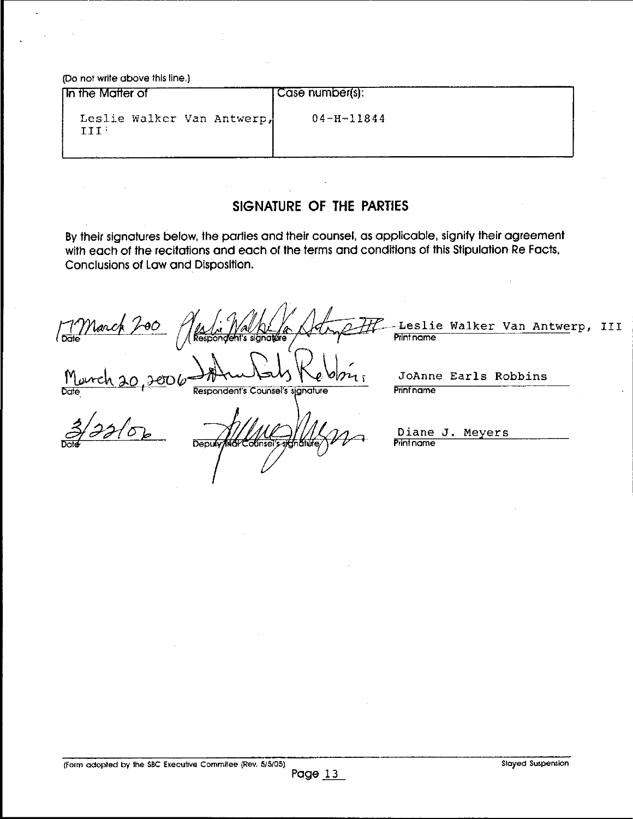**(Do not write above this line.)**

| <b>In the Matter of</b>            | Case number(s):  |
|------------------------------------|------------------|
| Leslie Walker Van Antwerp,<br>TTTi | $04 - H - 11844$ |

# **SIGNATURE OF THE PARTIES**

**By their signatures below, lhe parties and their counsel, as applicable, signify lheir agreement** with each of the recitations and each of the terms and conditions of this Stipulation Re Facts, **Conclusions of Law and Disposition.**

**/ 1 March 200 / Willy Walker a Strip I** Date **~[R~Re~on~t's si~na~re ~ - - [~** -<del>L</del>eslie Walker Van Antwerp, III<br>Pmntnome

**~ Respondent's Counsel's signature** 

JoAnne Earls Robbins<br>Prinfname

 $Dend$  $\Box$ 

**Diane** J. Meyers **Print name**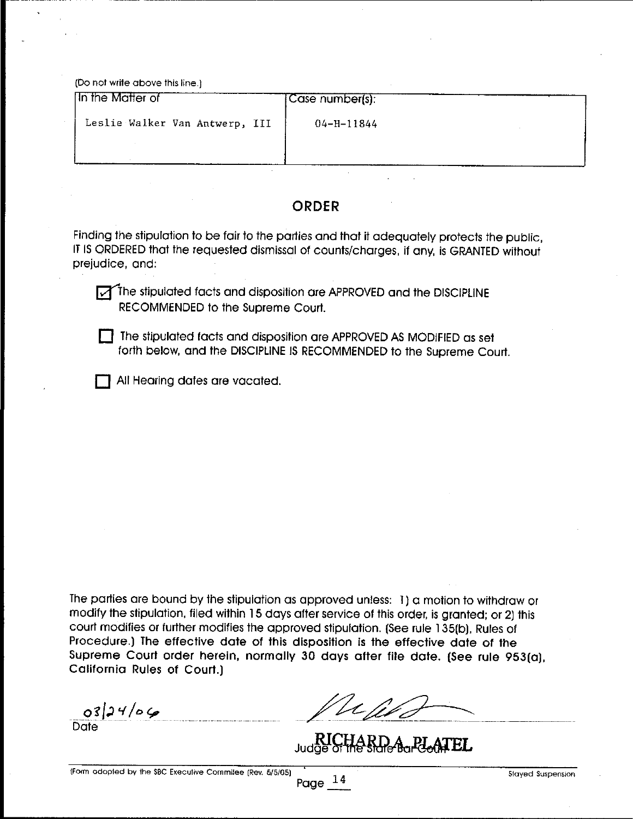(Do not write above this line.)

| In the Matter of               | Case number(s):  |  |
|--------------------------------|------------------|--|
| Leslie Walker Van Antwerp, III | $04 - H - 11844$ |  |
|                                |                  |  |
|                                |                  |  |

# **ORDER**

Finding the stipulation to be fair to the parties and that it adequately protects the public, IT IS ORDERED that the requesled dismissal of counts/charges, if any, is GRANTED without prejudice, and:

The stipulated facts and disposition are APPROVED and the DISCIPLINE RECOMMENDED to the Supreme Courl.

[] The stipulated facts and disposilion are APPROVED AS MODIFIED as set forth below, and the DISCIPLINE IS RECOMMENDED to the Supreme Court.

**T** All Hearing dates are vacated.

The parties are bound by the stipulation as approved unless: 1) a motion to withdraw or modify the stipulation, filed within 15 days after service of this order, is granted; or 2] this court modifies or lurther modifies the approved stipulation. (See rule 135[b), Rules of Procedure.) The effective date of this disposition is the effective date of the Supreme Court order herein, normally 30 days after file date. (See rule 953(a), California Rules of Court.)

 $0324/06$ 

**Date** 

Ve M

Judge of the state Bar PleasTEL